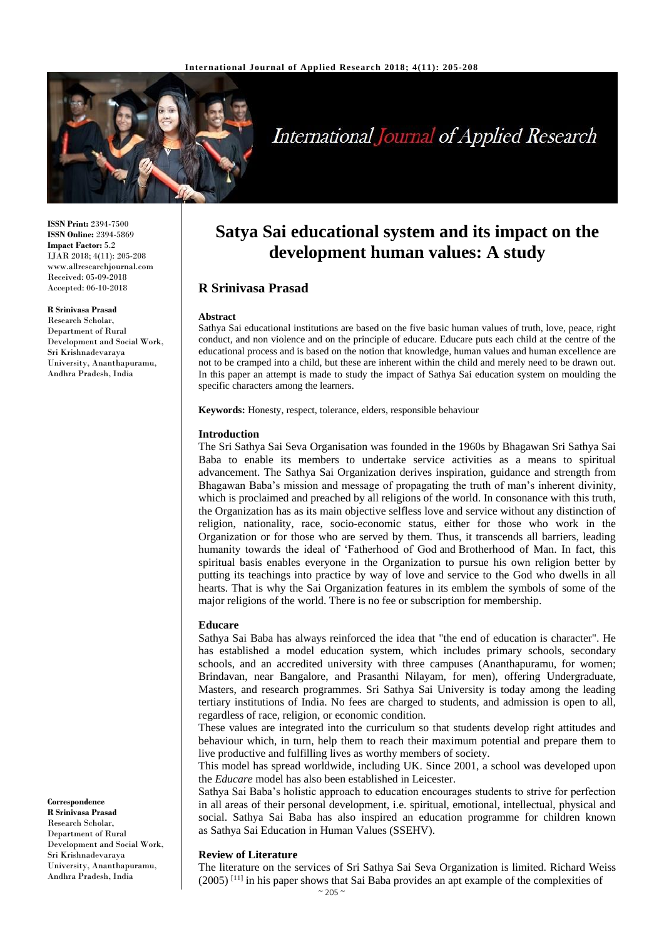**R Srinivasa Prasad**

specific characters among the learners.

**Keywords:** Honesty, respect, tolerance, elders, responsible behaviour

**Abstract**

**Introduction**

**Educare**



# **International Journal of Applied Research**

**Satya Sai educational system and its impact on the development human values: A study**

Sathya Sai educational institutions are based on the five basic human values of truth, love, peace, right conduct, and non violence and on the principle of educare. Educare puts each child at the centre of the educational process and is based on the notion that knowledge, human values and human excellence are not to be cramped into a child, but these are inherent within the child and merely need to be drawn out. In this paper an attempt is made to study the impact of Sathya Sai education system on moulding the

The Sri Sathya Sai Seva Organisation was founded in the 1960s by Bhagawan Sri Sathya Sai Baba to enable its members to undertake service activities as a means to spiritual advancement. The Sathya Sai Organization derives inspiration, guidance and strength from Bhagawan Baba's mission and message of propagating the truth of man's inherent divinity, which is proclaimed and preached by all religions of the world. In consonance with this truth, the Organization has as its main objective selfless love and service without any distinction of religion, nationality, race, socio-economic status, either for those who work in the Organization or for those who are served by them. Thus, it transcends all barriers, leading humanity towards the ideal of 'Fatherhood of God and Brotherhood of Man. In fact, this spiritual basis enables everyone in the Organization to pursue his own religion better by putting its teachings into practice by way of love and service to the God who dwells in all hearts. That is why the Sai Organization features in its emblem the symbols of some of the

**ISSN Print:** 2394-7500 **ISSN Online:** 2394-5869 **Impact Factor:** 5.2 IJAR 2018; 4(11): 205-208 www.allresearchjournal.com Received: 05-09-2018 Accepted: 06-10-2018

#### **R Srinivasa Prasad**

Research Scholar, Department of Rural Development and Social Work, Sri Krishnadevaraya University, Ananthapuramu, Andhra Pradesh, India

**Correspondence R Srinivasa Prasad** Research Scholar, Department of Rural Development and Social Work, Sri Krishnadevaraya University, Ananthapuramu, Andhra Pradesh, India

These values are integrated into the curriculum so that students develop right attitudes and behaviour which, in turn, help them to reach their maximum potential and prepare them to live productive and fulfilling lives as worthy members of society.

Sathya Sai Baba has always reinforced the idea that "the end of education is character". He has established a model education system, which includes primary schools, secondary schools, and an accredited university with three campuses (Ananthapuramu, for women; Brindavan, near Bangalore, and Prasanthi Nilayam, for men), offering Undergraduate, Masters, and research programmes. Sri Sathya Sai University is today among the leading tertiary institutions of India. No fees are charged to students, and admission is open to all,

major religions of the world. There is no fee or subscription for membership.

This model has spread worldwide, including UK. Since 2001, a school was developed upon the *Educare* model has also been established in Leicester.

Sathya Sai Baba's holistic approach to education encourages students to strive for perfection in all areas of their personal development, i.e. spiritual, emotional, intellectual, physical and social. Sathya Sai Baba has also inspired an education programme for children known as Sathya Sai Education in Human Values (SSEHV).

#### **Review of Literature**

The literature on the services of Sri Sathya Sai Seva Organization is limited. Richard Weiss  $(2005)^{[11]}$  in his paper shows that Sai Baba provides an apt example of the complexities of

regardless of race, religion, or economic condition.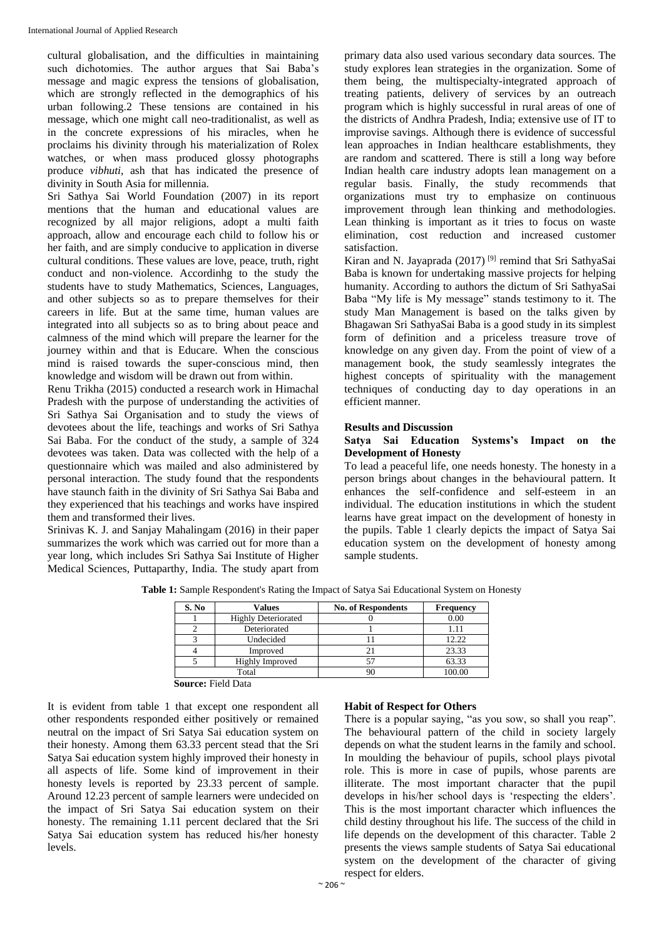cultural globalisation, and the difficulties in maintaining such dichotomies. The author argues that Sai Baba's message and magic express the tensions of globalisation, which are strongly reflected in the demographics of his urban following.2 These tensions are contained in his message, which one might call neo-traditionalist, as well as in the concrete expressions of his miracles, when he proclaims his divinity through his materialization of Rolex watches, or when mass produced glossy photographs produce *vibhuti*, ash that has indicated the presence of divinity in South Asia for millennia.

Sri Sathya Sai World Foundation (2007) in its report mentions that the human and educational values are recognized by all major religions, adopt a multi faith approach, allow and encourage each child to follow his or her faith, and are simply conducive to application in diverse cultural conditions. These values are love, peace, truth, right conduct and non-violence. Accordinhg to the study the students have to study Mathematics, Sciences, Languages, and other subjects so as to prepare themselves for their careers in life. But at the same time, human values are integrated into all subjects so as to bring about peace and calmness of the mind which will prepare the learner for the journey within and that is Educare. When the conscious mind is raised towards the super-conscious mind, then knowledge and wisdom will be drawn out from within.

Renu Trikha (2015) conducted a research work in Himachal Pradesh with the purpose of understanding the activities of Sri Sathya Sai Organisation and to study the views of devotees about the life, teachings and works of Sri Sathya Sai Baba. For the conduct of the study, a sample of 324 devotees was taken. Data was collected with the help of a questionnaire which was mailed and also administered by personal interaction. The study found that the respondents have staunch faith in the divinity of Sri Sathya Sai Baba and they experienced that his teachings and works have inspired them and transformed their lives.

Srinivas K. J. and Sanjay Mahalingam (2016) in their paper summarizes the work which was carried out for more than a year long, which includes Sri Sathya Sai Institute of Higher Medical Sciences, Puttaparthy, India. The study apart from primary data also used various secondary data sources. The study explores lean strategies in the organization. Some of them being, the multispecialty-integrated approach of treating patients, delivery of services by an outreach program which is highly successful in rural areas of one of the districts of Andhra Pradesh, India; extensive use of IT to improvise savings. Although there is evidence of successful lean approaches in Indian healthcare establishments, they are random and scattered. There is still a long way before Indian health care industry adopts lean management on a regular basis. Finally, the study recommends that organizations must try to emphasize on continuous improvement through lean thinking and methodologies. Lean thinking is important as it tries to focus on waste elimination, cost reduction and increased customer satisfaction.

Kiran and N. Jayaprada (2017)<sup>[9]</sup> remind that Sri SathyaSai Baba is known for undertaking massive projects for helping humanity. According to authors the dictum of Sri SathyaSai Baba "My life is My message" stands testimony to it. The study Man Management is based on the talks given by Bhagawan Sri SathyaSai Baba is a good study in its simplest form of definition and a priceless treasure trove of knowledge on any given day. From the point of view of a management book, the study seamlessly integrates the highest concepts of spirituality with the management techniques of conducting day to day operations in an efficient manner.

## **Results and Discussion**

# **Satya Sai Education Systems's Impact on the Development of Honesty**

To lead a peaceful life, one needs honesty. The honesty in a person brings about changes in the behavioural pattern. It enhances the self-confidence and self-esteem in an individual. The education institutions in which the student learns have great impact on the development of honesty in the pupils. Table 1 clearly depicts the impact of Satya Sai education system on the development of honesty among sample students.

| S. No | Values                     | <b>No. of Respondents</b> | <b>Frequency</b> |
|-------|----------------------------|---------------------------|------------------|
|       | <b>Highly Deteriorated</b> |                           | 0.00             |
|       | Deteriorated               |                           |                  |
|       | Undecided                  |                           | 12.22            |
|       | Improved                   |                           | 23.33            |
|       | <b>Highly Improved</b>     |                           | 63.33            |
| Total |                            |                           | 100.00           |

**Table 1:** Sample Respondent's Rating the Impact of Satya Sai Educational System on Honesty

**Source:** Field Data

It is evident from table 1 that except one respondent all other respondents responded either positively or remained neutral on the impact of Sri Satya Sai education system on their honesty. Among them 63.33 percent stead that the Sri Satya Sai education system highly improved their honesty in all aspects of life. Some kind of improvement in their honesty levels is reported by 23.33 percent of sample. Around 12.23 percent of sample learners were undecided on the impact of Sri Satya Sai education system on their honesty. The remaining 1.11 percent declared that the Sri Satya Sai education system has reduced his/her honesty levels.

# **Habit of Respect for Others**

There is a popular saying, "as you sow, so shall you reap". The behavioural pattern of the child in society largely depends on what the student learns in the family and school. In moulding the behaviour of pupils, school plays pivotal role. This is more in case of pupils, whose parents are illiterate. The most important character that the pupil develops in his/her school days is 'respecting the elders'. This is the most important character which influences the child destiny throughout his life. The success of the child in life depends on the development of this character. Table 2 presents the views sample students of Satya Sai educational system on the development of the character of giving respect for elders.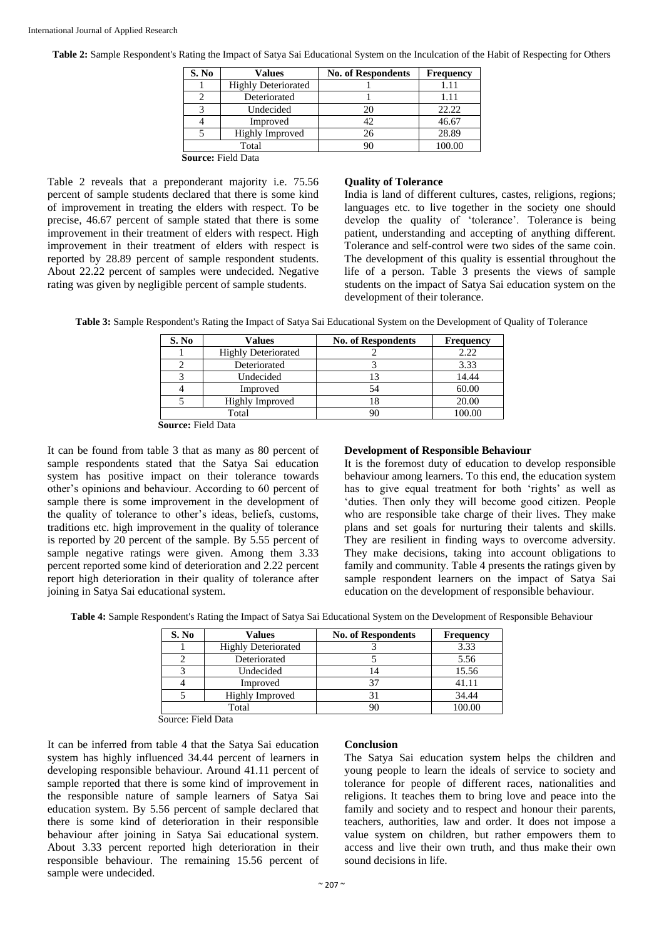| S. No                     | <b>Values</b>              | <b>No. of Respondents</b> | <b>Frequency</b> |  |
|---------------------------|----------------------------|---------------------------|------------------|--|
|                           | <b>Highly Deteriorated</b> |                           |                  |  |
|                           | Deteriorated               |                           | 1.11             |  |
|                           | Undecided                  | 20                        | 22.22            |  |
|                           | Improved                   | 42                        | 46.67            |  |
|                           | Highly Improved            | 26                        | 28.89            |  |
| Total                     |                            | 90                        | 100.00           |  |
| <b>Source: Field Data</b> |                            |                           |                  |  |

**Table 2:** Sample Respondent's Rating the Impact of Satya Sai Educational System on the Inculcation of the Habit of Respecting for Others

Table 2 reveals that a preponderant majority i.e. 75.56 percent of sample students declared that there is some kind of improvement in treating the elders with respect. To be precise, 46.67 percent of sample stated that there is some improvement in their treatment of elders with respect. High improvement in their treatment of elders with respect is reported by 28.89 percent of sample respondent students. About 22.22 percent of samples were undecided. Negative rating was given by negligible percent of sample students.

## **Quality of Tolerance**

India is land of different cultures, castes, religions, regions; languages etc. to live together in the society one should develop the quality of 'tolerance'. Tolerance is being patient, understanding and accepting of anything different. Tolerance and self-control were two sides of the same coin. The development of this quality is essential throughout the life of a person. Table 3 presents the views of sample students on the impact of Satya Sai education system on the development of their tolerance.

**Table 3:** Sample Respondent's Rating the Impact of Satya Sai Educational System on the Development of Quality of Tolerance

| S. No | Values                     | <b>No. of Respondents</b> | <b>Frequency</b> |
|-------|----------------------------|---------------------------|------------------|
|       | <b>Highly Deteriorated</b> |                           | 2.22             |
|       | Deteriorated               |                           | 3.33             |
|       | Undecided                  | 13                        | 14.44            |
|       | Improved                   | 54                        | 60.00            |
|       | Highly Improved            | 18                        | 20.00            |
| Total |                            | 90                        | 100.00           |

**Source:** Field Data

It can be found from table 3 that as many as 80 percent of sample respondents stated that the Satya Sai education system has positive impact on their tolerance towards other's opinions and behaviour. According to 60 percent of sample there is some improvement in the development of the quality of tolerance to other's ideas, beliefs, customs, traditions etc. high improvement in the quality of tolerance is reported by 20 percent of the sample. By 5.55 percent of sample negative ratings were given. Among them 3.33 percent reported some kind of deterioration and 2.22 percent report high deterioration in their quality of tolerance after joining in Satya Sai educational system.

### **Development of Responsible Behaviour**

It is the foremost duty of education to develop responsible behaviour among learners. To this end, the education system has to give equal treatment for both 'rights' as well as 'duties. Then only they will become good citizen. People who are responsible take charge of their lives. They make plans and set goals for nurturing their talents and skills. They are resilient in finding ways to overcome adversity. They make decisions, taking into account obligations to family and community. Table 4 presents the ratings given by sample respondent learners on the impact of Satya Sai education on the development of responsible behaviour.

**Table 4:** Sample Respondent's Rating the Impact of Satya Sai Educational System on the Development of Responsible Behaviour

| S. No | <b>Values</b>              | <b>No. of Respondents</b> | <b>Frequency</b> |
|-------|----------------------------|---------------------------|------------------|
|       | <b>Highly Deteriorated</b> |                           | 3.33             |
|       | Deteriorated               |                           | 5.56             |
|       | Undecided                  |                           | 15.56            |
|       | Improved                   |                           | 41.11            |
|       | Highly Improved            |                           | 34.44            |
| Total |                            |                           | 00.00            |

Source: Field Data

It can be inferred from table 4 that the Satya Sai education system has highly influenced 34.44 percent of learners in developing responsible behaviour. Around 41.11 percent of sample reported that there is some kind of improvement in the responsible nature of sample learners of Satya Sai education system. By 5.56 percent of sample declared that there is some kind of deterioration in their responsible behaviour after joining in Satya Sai educational system. About 3.33 percent reported high deterioration in their responsible behaviour. The remaining 15.56 percent of sample were undecided.

### **Conclusion**

The Satya Sai education system helps the children and young people to learn the ideals of service to society and tolerance for people of different races, nationalities and religions. It teaches them to bring love and peace into the family and society and to respect and honour their parents, teachers, authorities, law and order. It does not impose a value system on children, but rather empowers them to access and live their own truth, and thus make their own sound decisions in life.